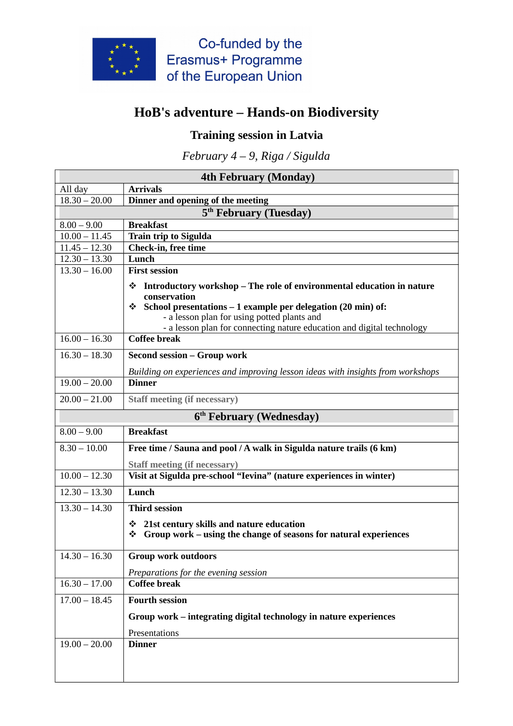

Co-funded by the Erasmus+ Programme of the European Union

## **HoB's adventure – Hands-on Biodiversity**

## **Training session in Latvia**

*February 4 – 9, Riga / Sigulda*

| <b>4th February (Monday)</b>         |                                                                                               |  |
|--------------------------------------|-----------------------------------------------------------------------------------------------|--|
| All day                              | <b>Arrivals</b>                                                                               |  |
| $18.30 - 20.00$                      | Dinner and opening of the meeting                                                             |  |
| 5 <sup>th</sup> February (Tuesday)   |                                                                                               |  |
| $8.00 - 9.00$                        | <b>Breakfast</b>                                                                              |  |
| $10.00 - 11.45$                      | <b>Train trip to Sigulda</b>                                                                  |  |
| $11.45 - 12.30$                      | Check-in, free time                                                                           |  |
| $12.30 - 13.30$                      | Lunch                                                                                         |  |
| $13.30 - 16.00$                      | <b>First session</b>                                                                          |  |
|                                      | Introductory workshop – The role of environmental education in nature<br>❖                    |  |
|                                      | conservation                                                                                  |  |
|                                      | <i><b>❖</b></i> School presentations – 1 example per delegation (20 min) of:                  |  |
|                                      | - a lesson plan for using potted plants and                                                   |  |
| $16.00 - 16.30$                      | - a lesson plan for connecting nature education and digital technology<br><b>Coffee break</b> |  |
|                                      |                                                                                               |  |
| $16.30 - 18.30$                      | <b>Second session - Group work</b>                                                            |  |
|                                      | Building on experiences and improving lesson ideas with insights from workshops               |  |
| $19.00 - 20.00$                      | <b>Dinner</b>                                                                                 |  |
| $20.00 - 21.00$                      | <b>Staff meeting (if necessary)</b>                                                           |  |
| 6 <sup>th</sup> February (Wednesday) |                                                                                               |  |
| $8.00 - 9.00$                        | <b>Breakfast</b>                                                                              |  |
| $8.30 - 10.00$                       | Free time / Sauna and pool / A walk in Sigulda nature trails (6 km)                           |  |
|                                      | <b>Staff meeting (if necessary)</b>                                                           |  |
| $10.00 - 12.30$                      | Visit at Sigulda pre-school "Ievina" (nature experiences in winter)                           |  |
| $12.30 - 13.30$                      | Lunch                                                                                         |  |
| $13.30 - 14.30$                      | <b>Third session</b>                                                                          |  |
|                                      | 21st century skills and nature education<br>❖                                                 |  |
|                                      | Group work – using the change of seasons for natural experiences<br>❖                         |  |
|                                      |                                                                                               |  |
| $14.30 - 16.30$                      | Group work outdoors                                                                           |  |
|                                      | Preparations for the evening session                                                          |  |
| $16.30 - 17.00$                      | <b>Coffee break</b>                                                                           |  |
| $17.00 - 18.45$                      | <b>Fourth session</b>                                                                         |  |
|                                      | Group work – integrating digital technology in nature experiences                             |  |
|                                      | Presentations                                                                                 |  |
| $19.00 - 20.00$                      | <b>Dinner</b>                                                                                 |  |
|                                      |                                                                                               |  |
|                                      |                                                                                               |  |